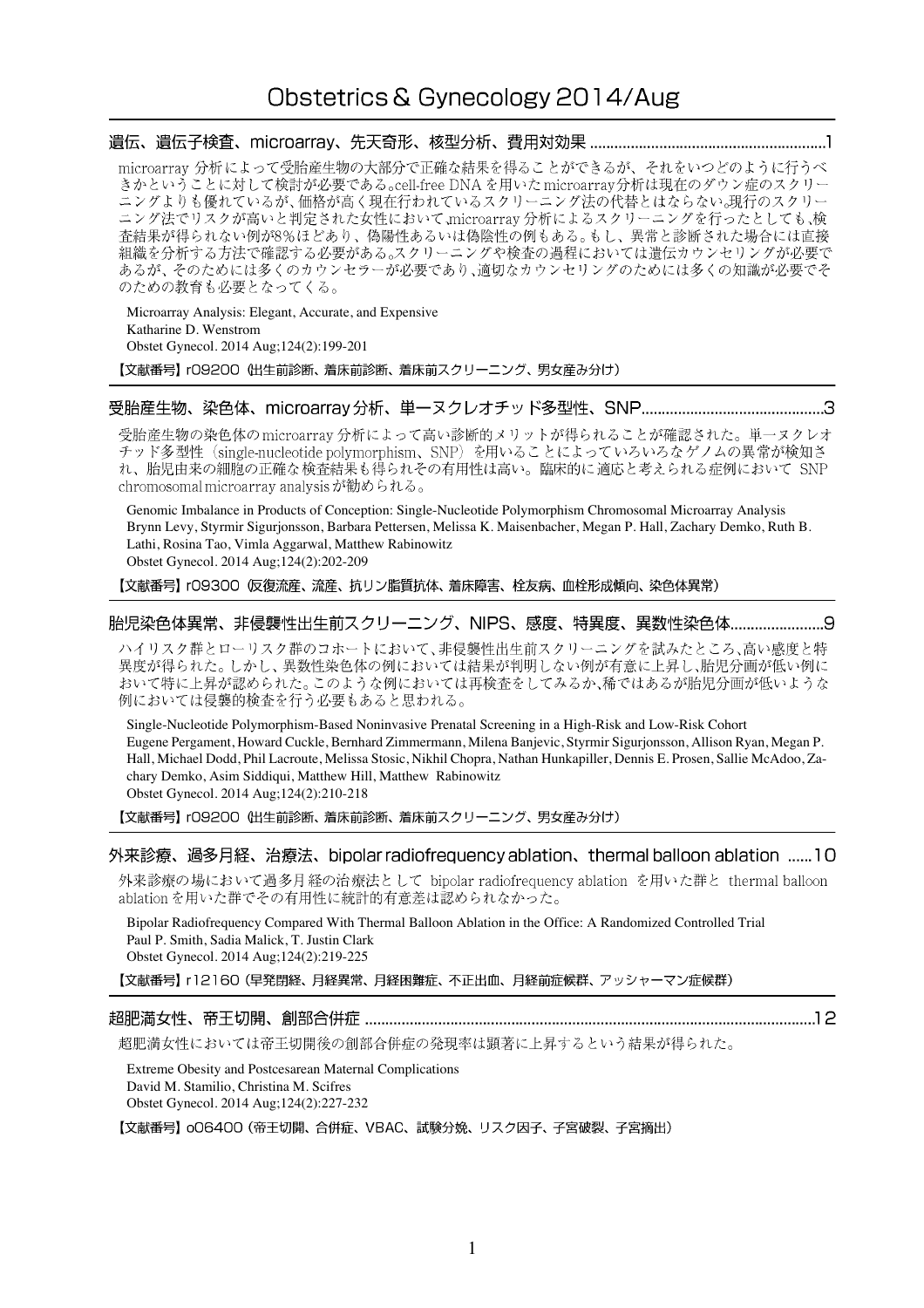## Obstetrics & Gynecology 2014/Aug

### 

microarray 分析によって受胎産生物の大部分で正確な結果を得ることができるが、それをいつどのように行うべ きかということに対して検討が必要である。cell-free DNA を用いた microarray分析は現在のダウン症のスクリー ニングよりも優れているが、価格が高く現在行われているスクリーニング法の代替とはならない。現行のスクリー ニング法でリスクが高いと判定された女性において、microarray 分析によるスクリーニングを行ったとしても、検査結果が得られない例が8%ほどあり、偽陽性あるいは偽陰性の例もある。もし、異常と診断された場合には直接 組織を分析する方法で確認する必要がある。スクリーニングや検査の過程においては遺伝カウンセリングが必要で あるが、そのためには多くのカウンセラーが必要であり、適切なカウンセリングのためには多くの知識が必要でそ のための教育も必要となってくる。

Microarray Analysis: Elegant, Accurate, and Expensive Katharine D. Wenstrom Obstet Gynecol. 2014 Aug;124(2):199-201 【文献番号】 rO9200 (出生前診断、着床前診断、着床前スクリーニング、男女産み分け)

### 

受胎産生物の染色体の microarray 分析によって高い診断的メリットが得られることが確認された。単一ヌクレオ チッド多型性 (single-nucleotide polymorphism、SNP) を用いることによっていろいろなゲノムの異常が検知さ れ、胎児由来の細胞の正確な検査結果も得られその有用性は高い。臨床的に適応と考えられる症例において SNP chromosomal microarray analysisが勧められる。

Genomic Imbalance in Products of Conception: Single-Nucleotide Polymorphism Chromosomal Microarray Analysis Brynn Levy, Styrmir Sigurjonsson, Barbara Pettersen, Melissa K. Maisenbacher, Megan P. Hall, Zachary Demko, Ruth B. Lathi, Rosina Tao, Vimla Aggarwal, Matthew Rabinowitz Obstet Gynecol. 2014 Aug;124(2):202-209

【文献番号】 rO9300 仮復流産、流産、抗リン脂質抗体、着床障害、栓友病、血栓形成傾向、染色体異常)

### 胎児染色体異常、非侵襲性出生前スクリーニング、NIPS、感度、特異度、異数性染色体..................................

ハイリスク群とローリスク群のコホートにおいて、非侵襲性出生前スクリーニングを試みたところ、高い感度と特 異度が得られた。しかし、異数性染色体の例においては結果が判明しない例が有意に上昇し、胎児分画が低い例に おいて特に上昇が認められた。このような例においては再検査をしてみるか、稀ではあるが胎児分画が低いような 例においては侵襲的検査を行う必要もあると思われる。

Single-Nucleotide Polymorphism-Based Noninvasive Prenatal Screening in a High-Risk and Low-Risk Cohort Eugene Pergament, Howard Cuckle, Bernhard Zimmermann, Milena Banjevic, Styrmir Sigurjonsson, Allison Ryan, Megan P. Hall, Michael Dodd, Phil Lacroute, Melissa Stosic, Nikhil Chopra, Nathan Hunkapiller, Dennis E. Prosen, Sallie McAdoo, Zachary Demko, Asim Siddiqui, Matthew Hill, Matthew Rabinowitz Obstet Gynecol. 2014 Aug;124(2):210-218

【文献番号】 rO9200 (出生前診断、着床前診断、着床前スクリーニング、男女産み分け)

### 外来診療、過多月経、治療法、bipolar radiofrequency ablation、thermal balloon ablation ...... 10

外来診療の場において過多月経の治療法として bipolar radiofrequency ablation を用いた群と thermal balloon ablation を用いた群でその有用性に統計的有意差は認められなかった。

Bipolar Radiofrequency Compared With Thermal Balloon Ablation in the Office: A Randomized Controlled Trial Paul P. Smith, Sadia Malick, T. Justin Clark Obstet Gynecol. 2014 Aug;124(2):219-225

【文献番号】 r12160 (早発閉経、月経異常、月経困難症、不正出血、月経前症候群、アッシャーマン症候群)

#### 

超肥満女性においては帝王切開後の創部合併症の発現率は顕著に上昇するという結果が得られた。

Extreme Obesity and Postcesarean Maternal Complications David M. Stamilio, Christina M. Scifres Obstet Gynecol. 2014 Aug;124(2):227-232

【文献番号】 oO6400 (帝王切開、合併症、VBAC、試験分娩、リスク因子、子宮破裂、子宮摘出)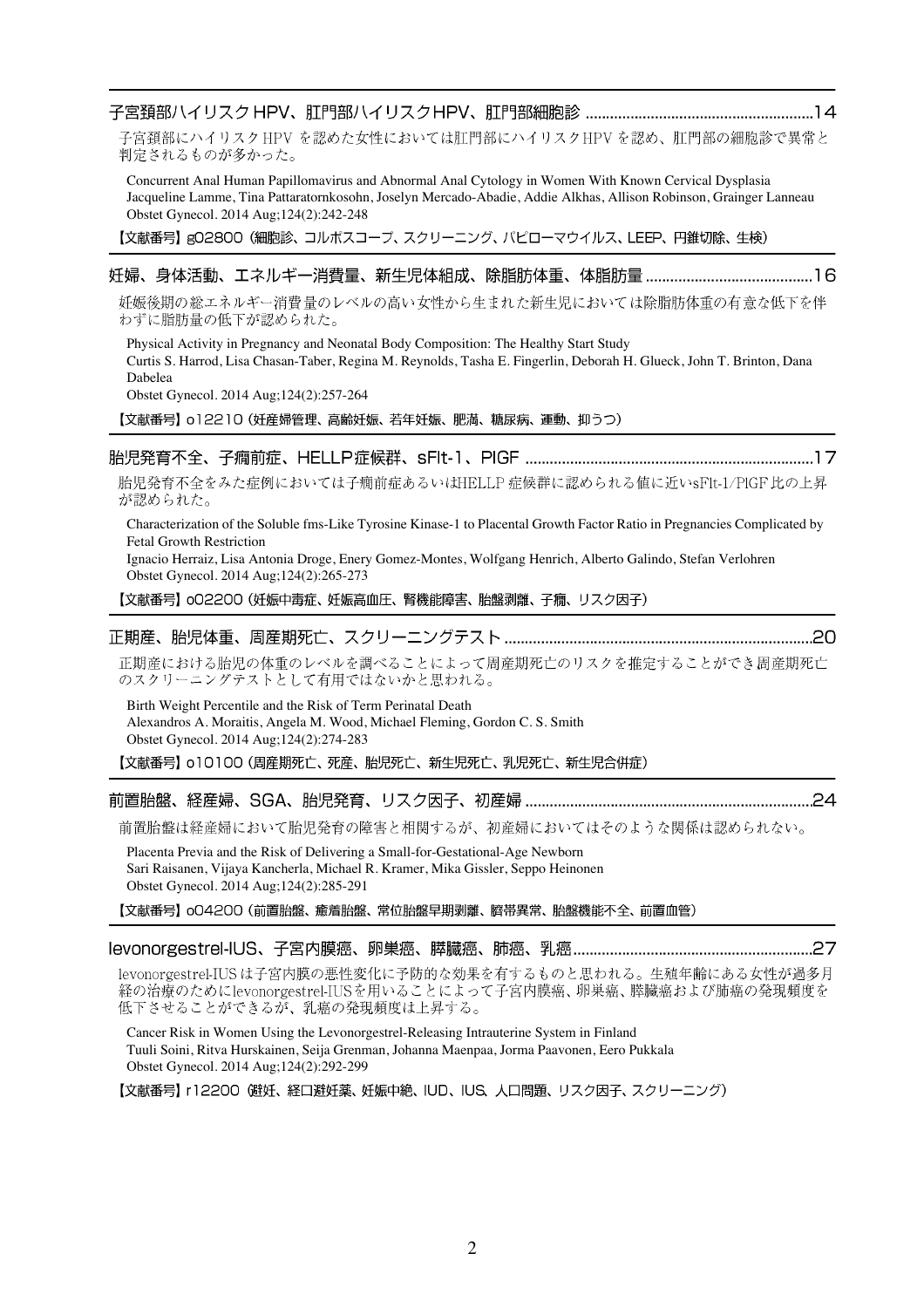| Obstet Gynecol. 2014 Aug;124(2):242-248<br>【文献番号】gO2800(細胞診、コルポスコープ、スクリーニング、パピローマウイルス、LEEP、円錐切除、生検)                                                                                                                                                                                                                                                                                                                                               |
|---------------------------------------------------------------------------------------------------------------------------------------------------------------------------------------------------------------------------------------------------------------------------------------------------------------------------------------------------------------------------------------------------------------------------------------------------|
| 妊娠後期の総エネルギー消費量のレベルの高い女性から生まれた新生児においては除脂肪体重の有意な低下を伴<br>わずに脂肪量の低下が認められた。                                                                                                                                                                                                                                                                                                                                                                            |
| Physical Activity in Pregnancy and Neonatal Body Composition: The Healthy Start Study<br>Curtis S. Harrod, Lisa Chasan-Taber, Regina M. Reynolds, Tasha E. Fingerlin, Deborah H. Glueck, John T. Brinton, Dana<br>Dabelea<br>Obstet Gynecol. 2014 Aug;124(2):257-264                                                                                                                                                                              |
| 【文献番号】 o12210 (妊産婦管理、高齢妊娠、若年妊娠、肥満、糖尿病、運動、抑うつ)                                                                                                                                                                                                                                                                                                                                                                                                     |
| 胎児発育不全をみた症例においては子癇前症あるいはHELLP症候群に認められる値に近いsFlt-1/PIGF比の上昇<br>が認められた。<br>Characterization of the Soluble fms-Like Tyrosine Kinase-1 to Placental Growth Factor Ratio in Pregnancies Complicated by<br><b>Fetal Growth Restriction</b><br>Ignacio Herraiz, Lisa Antonia Droge, Enery Gomez-Montes, Wolfgang Henrich, Alberto Galindo, Stefan Verlohren<br>Obstet Gynecol. 2014 Aug;124(2):265-273<br>【文献番号】o02200 (妊娠中毒症、妊娠高血圧、腎機能障害、胎盤剥離、子癇、リスク因子) |
| 正期産における胎児の体重のレベルを調べることによって周産期死亡のリスクを推定することができ周産期死亡<br>のスクリーニングテストとして有用ではないかと思われる。<br>Birth Weight Percentile and the Risk of Term Perinatal Death<br>Alexandros A. Moraitis, Angela M. Wood, Michael Fleming, Gordon C. S. Smith<br>Obstet Gynecol. 2014 Aug;124(2):274-283<br>【文献番号】o10100 (周産期死亡、死産、胎児死亡、新生児死亡、乳児死亡、新生児合併症)                                                                                                                     |
| 前置胎盤は経産婦において胎児発育の障害と相関するが、初産婦においてはそのような関係は認められない。                                                                                                                                                                                                                                                                                                                                                                                                 |

Placenta Previa and the Risk of Delivering a Small-for-Gestational-Age Newborn Sari Raisanen, Vijaya Kancherla, Michael R. Kramer, Mika Gissler, Seppo Heinonen Obstet Gynecol. 2014 Aug;124(2):285-291

【文献番号】 oO4200 (前置胎盤、癒着胎盤、常位胎盤早期剥離、臍帯異常、胎盤機能不全、前置血管)

### 

levonorgestrel-IUSは子宮内膜の悪性変化に予防的な効果を有するものと思われる。生殖年齢にある女性が過多月 経の治療のためにlevonorgestrel-IUSを用いることによって子宮内膜癌、卵巣癌、膵臓癌および肺癌の発現頻度を 低下させることができるが、乳癌の発現頻度は上昇する。

Cancer Risk in Women Using the Levonorgestrel-Releasing Intrauterine System in Finland Tuuli Soini, Ritva Hurskainen, Seija Grenman, Johanna Maenpaa, Jorma Paavonen, Eero Pukkala Obstet Gynecol. 2014 Aug;124(2):292-299

【文献番号】 r12200 (避妊、経口避妊薬、妊娠中絶、IUD、IUS、人口問題、リスク因子、スクリーニング)

子宮頚部にハイリスク HPV を認めた女性においては肛門部にハイリスクHPV を認め、肛門部の細胞診で異常と 判定されるものが多かった。

Concurrent Anal Human Papillomavirus and Abnormal Anal Cytology in Women With Known Cervical Dysplasia Jacqueline Lamme, Tina Pattaratornkosohn, Joselyn Mercado-Abadie, Addie Alkhas, Allison Robinson, Grainger Lanneau

## 16

# L.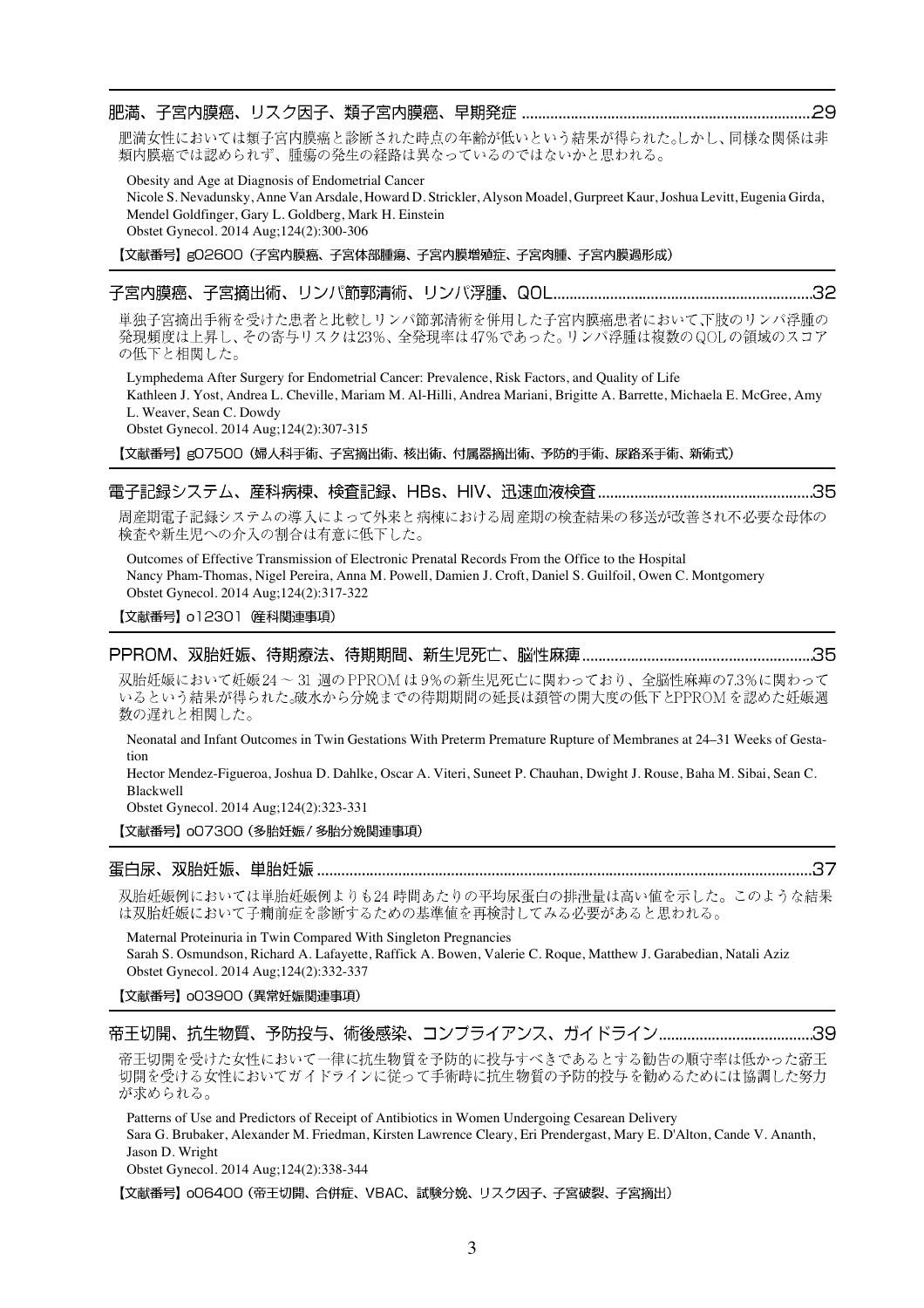### 

肥満女性においては類子宮内膜癌と診断された時点の年齢が低いという結果が得られた。しかし、同様な関係は非 類内膜癌では認められず、腫瘍の発生の経路は異なっているのではないかと思われる。

Obesity and Age at Diagnosis of Endometrial Cancer

Nicole S. Nevadunsky, Anne Van Arsdale, Howard D. Strickler, Alyson Moadel, Gurpreet Kaur, Joshua Levitt, Eugenia Girda, Mendel Goldfinger, Gary L. Goldberg, Mark H. Einstein Obstet Gynecol. 2014 Aug;124(2):300-306

【文献番号】g02600 (子宮内膜癌、子宮体部腫瘍、子宮内膜増殖症、子宮肉腫、子宮内膜過形成)

### 

単独子宮摘出手術を受けた患者と比較しリンパ節郭清術を併用した子宮内膜癌患者において下肢のリンパ浮腫の 発現頻度は上昇し、その寄与リスクは23%、全発現率は47%であった。リンパ浮腫は複数のQOLの領域のスコア の低下と相関した。

Lymphedema After Surgery for Endometrial Cancer: Prevalence, Risk Factors, and Quality of Life Kathleen J. Yost, Andrea L. Cheville, Mariam M. Al-Hilli, Andrea Mariani, Brigitte A. Barrette, Michaela E. McGree, Amy L. Weaver, Sean C. Dowdy Obstet Gynecol. 2014 Aug;124(2):307-315

【文献番号】gO7500 (婦人科手術、子宮摘出術、核出術、付属器摘出術、予防的手術、尿路系手術、新術式)

### 

周産期電子記録システムの導入によって外来と病棟における周産期の検査結果の移送が改善され不必要な母体の 検査や新生児への介入の割合は有意に低下した。

Outcomes of Effective Transmission of Electronic Prenatal Records From the Office to the Hospital Nancy Pham-Thomas, Nigel Pereira, Anna M. Powell, Damien J. Croft, Daniel S. Guilfoil, Owen C. Montgomery Obstet Gynecol. 2014 Aug;124(2):317-322

【文献番号】 o12301 産科関連事項)

### 

双胎妊娠において妊娠24~31 週のPPROMは9%の新生児死亡に関わっており、全脳性麻痺の7.3%に関わって いるという結果が得られた。破水から分娩までの待期期間の延長は頚管の開大度の低下とPPROMを認めた妊娠週 数の遅れと相関した。

Neonatal and Infant Outcomes in Twin Gestations With Preterm Premature Rupture of Membranes at 24–31 Weeks of Gestation

Hector Mendez-Figueroa, Joshua D. Dahlke, Oscar A. Viteri, Suneet P. Chauhan, Dwight J. Rouse, Baha M. Sibai, Sean C. Blackwell

Obstet Gynecol. 2014 Aug;124(2):323-331

【文献番号】 007300 (多胎妊娠 / 多胎分娩関連事項)

### 

双胎妊娠例においては単胎妊娠例よりも24時間あたりの平均尿蛋白の排泄量は高い値を示した。このような結果 は双胎妊娠において子癇前症を診断するための基準値を再検討してみる必要があると思われる。

Maternal Proteinuria in Twin Compared With Singleton Pregnancies Sarah S. Osmundson, Richard A. Lafayette, Raffick A. Bowen, Valerie C. Roque, Matthew J. Garabedian, Natali Aziz Obstet Gynecol. 2014 Aug;124(2):332-337

### 【文献番号】 003900 (異常妊娠関連事項)

帝王切開を受けた女性において一律に抗生物質を予防的に投与すべきであるとする勧告の順守率は低かった帝王 切開を受ける女性においてガイドラインに従って手術時に抗生物質の予防的投与を勧めるためには協調した努力 が求められる。

Patterns of Use and Predictors of Receipt of Antibiotics in Women Undergoing Cesarean Delivery Sara G. Brubaker, Alexander M. Friedman, Kirsten Lawrence Cleary, Eri Prendergast, Mary E. D'Alton, Cande V. Ananth, Jason D. Wright Obstet Gynecol. 2014 Aug;124(2):338-344

【文献番号】 oO6400 (帝王切開、合併症、VBAC、試験分娩、リスク因子、子宮破裂、子宮摘出)